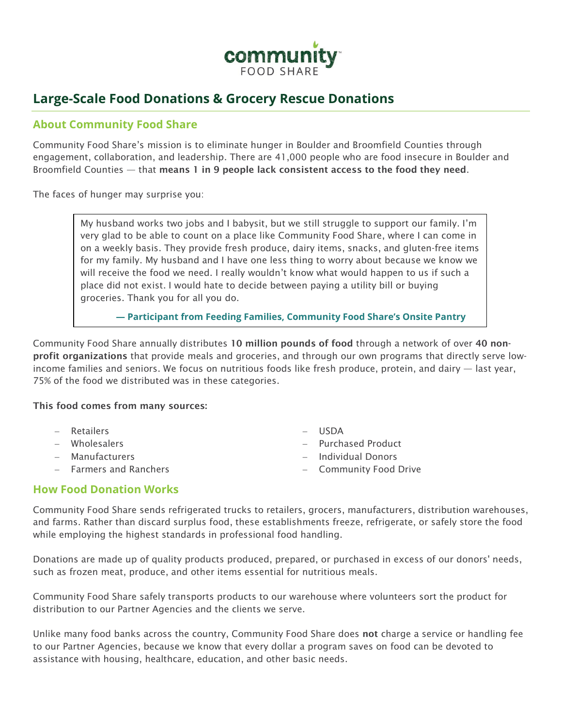

# **Large-Scale Food Donations & Grocery Rescue Donations**

# **About Community Food Share**

Community Food Share's mission is to eliminate hunger in Boulder and Broomfield Counties through engagement, collaboration, and leadership. There are 41,000 people who are food insecure in Boulder and Broomfield Counties — that means 1 in 9 people lack consistent access to the food they need.

The faces of hunger may surprise you:

My husband works two jobs and I babysit, but we still struggle to support our family. I'm very glad to be able to count on a place like Community Food Share, where I can come in on a weekly basis. They provide fresh produce, dairy items, snacks, and gluten-free items for my family. My husband and I have one less thing to worry about because we know we will receive the food we need. I really wouldn't know what would happen to us if such a place did not exist. I would hate to decide between paying a utility bill or buying groceries. Thank you for all you do.

 **— Participant from Feeding Families, Community Food Share's Onsite Pantry**

Community Food Share annually distributes 10 million pounds of food through a network of over 40 nonprofit organizations that provide meals and groceries, and through our own programs that directly serve lowincome families and seniors. We focus on nutritious foods like fresh produce, protein, and dairy — last year, 75% of the food we distributed was in these categories.

### This food comes from many sources:

| e Faad Banattan Wander |                        |  |                        |
|------------------------|------------------------|--|------------------------|
|                        | - Farmers and Ranchers |  | - Community Food Drive |
|                        | - Manufacturers        |  | - Individual Donors    |
|                        | - Wholesalers          |  | - Purchased Product    |
|                        | – Retailers            |  | – USDA                 |
|                        |                        |  |                        |

## **How Food Donation Works**

Community Food Share sends refrigerated trucks to retailers, grocers, manufacturers, distribution warehouses, and farms. Rather than discard surplus food, these establishments freeze, refrigerate, or safely store the food while employing the highest standards in professional food handling.

Donations are made up of quality products produced, prepared, or purchased in excess of our donors' needs, such as frozen meat, produce, and other items essential for nutritious meals.

Community Food Share safely transports products to our warehouse where volunteers sort the product for distribution to our Partner Agencies and the clients we serve.

Unlike many food banks across the country, Community Food Share does not charge a service or handling fee to our Partner Agencies, because we know that every dollar a program saves on food can be devoted to assistance with housing, healthcare, education, and other basic needs.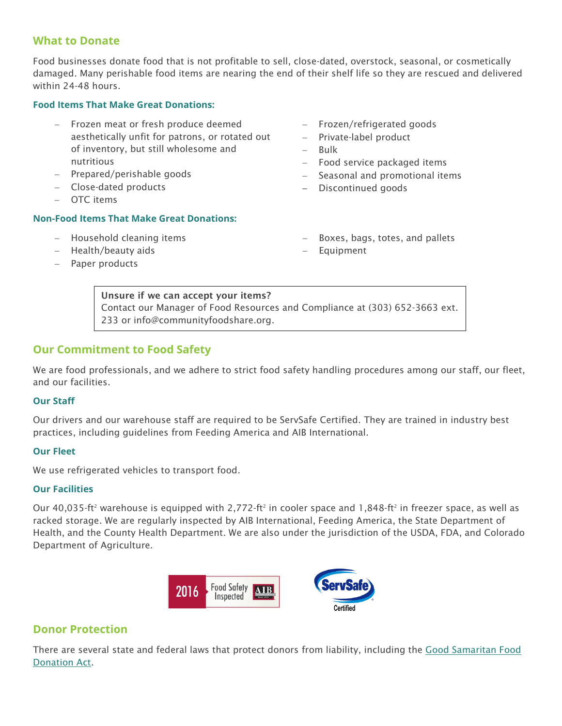## **What to Donate**

Food businesses donate food that is not profitable to sell, close-dated, overstock, seasonal, or cosmetically damaged. Many perishable food items are nearing the end of their shelf life so they are rescued and delivered within 24-48 hours.

### **Food Items That Make Great Donations:**

- − Frozen meat or fresh produce deemed aesthetically unfit for patrons, or rotated out of inventory, but still wholesome and nutritious
- − Prepared/perishable goods
- − Close-dated products
- − OTC items

### **Non-Food Items That Make Great Donations:**

- − Household cleaning items
- − Health/beauty aids
- − Paper products
- − Frozen/refrigerated goods
- − Private-label product
- − Bulk
- − Food service packaged items
- − Seasonal and promotional items
- − Discontinued goods
- Boxes, bags, totes, and pallets
- − Equipment

Unsure if we can accept your items? Contact our Manager of Food Resources and Compliance at (303) 652-3663 ext. 233 or info@communityfoodshare.org.

## **Our Commitment to Food Safety**

We are food professionals, and we adhere to strict food safety handling procedures among our staff, our fleet, and our facilities.

#### **Our Staff**

Our drivers and our warehouse staff are required to be ServSafe Certified. They are trained in industry best practices, including guidelines from Feeding America and AIB International.

#### **Our Fleet**

We use refrigerated vehicles to transport food.

#### **Our Facilities**

Our 40,035-ft<sup>2</sup> warehouse is equipped with 2,772-ft<sup>2</sup> in cooler space and 1,848-ft<sup>2</sup> in freezer space, as well as racked storage. We are regularly inspected by AIB International, Feeding America, the State Department of Health, and the County Health Department. We are also under the jurisdiction of the USDA, FDA, and Colorado Department of Agriculture.



# **Donor Protection**

There are several state and federal laws that protect donors from liability, including the Good Samaritan Food [Donation Act.](https://www.feedingamerica.org/about-us/partners/become-a-product-partner/food-partners)